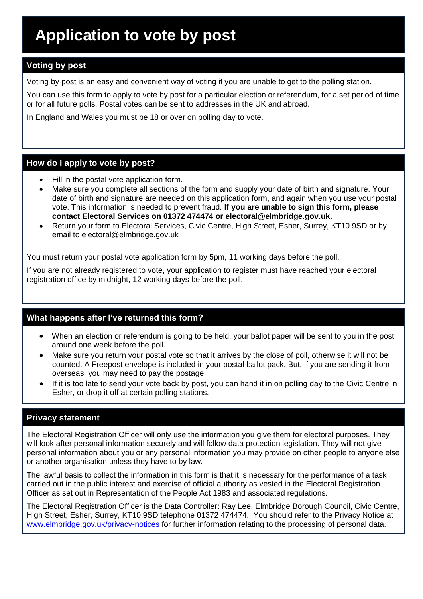## **Voting by post**

Voting by post is an easy and convenient way of voting if you are unable to get to the polling station.

You can use this form to apply to vote by post for a particular election or referendum, for a set period of time or for all future polls. Postal votes can be sent to addresses in the UK and abroad.

In England and Wales you must be 18 or over on polling day to vote.

#### **How do I apply to vote by post?**

- Fill in the postal vote application form.
- Make sure you complete all sections of the form and supply your date of birth and signature. Your date of birth and signature are needed on this application form, and again when you use your postal vote. This information is needed to prevent fraud. **If you are unable to sign this form, please contact Electoral Services on 01372 474474 or electoral@elmbridge.gov.uk.**
- Return your form to Electoral Services, Civic Centre, High Street, Esher, Surrey, KT10 9SD or by email to electoral@elmbridge.gov.uk

You must return your postal vote application form by 5pm, 11 working days before the poll.

If you are not already registered to vote, your application to register must have reached your electoral registration office by midnight, 12 working days before the poll.

## **What happens after I've returned this form?**

- When an election or referendum is going to be held, your ballot paper will be sent to you in the post around one week before the poll.
- Make sure you return your postal vote so that it arrives by the close of poll, otherwise it will not be counted. A Freepost envelope is included in your postal ballot pack. But, if you are sending it from overseas, you may need to pay the postage.
- If it is too late to send your vote back by post, you can hand it in on polling day to the Civic Centre in Esher, or drop it off at certain polling stations.

#### **Privacy statement**

The Electoral Registration Officer will only use the information you give them for electoral purposes. They will look after personal information securely and will follow data protection legislation. They will not give personal information about you or any personal information you may provide on other people to anyone else or another organisation unless they have to by law.

The lawful basis to collect the information in this form is that it is necessary for the performance of a task carried out in the public interest and exercise of official authority as vested in the Electoral Registration Officer as set out in Representation of the People Act 1983 and associated regulations.

The Electoral Registration Officer is the Data Controller: Ray Lee, Elmbridge Borough Council, Civic Centre, High Street, Esher, Surrey, KT10 9SD telephone 01372 474474. You should refer to the Privacy Notice at [www.elmbridge.gov.uk/privacy-notices](http://www.elmbridge.gov.uk/privacy-notices) for further information relating to the processing of personal data.